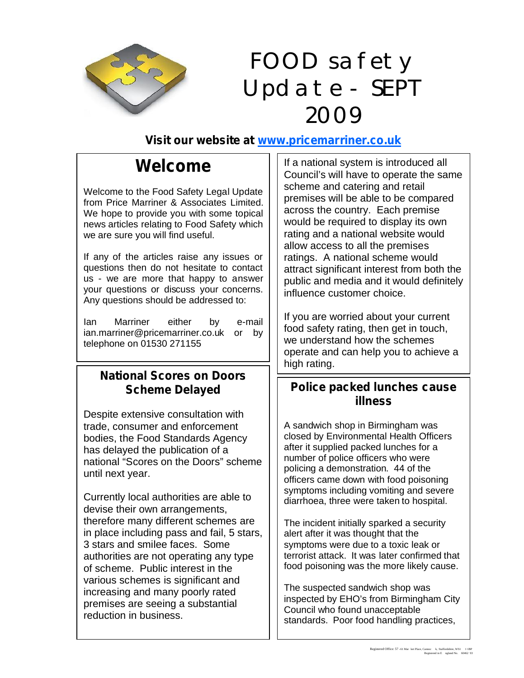

## FOOD safety Update - SEPT 2009

### **Visit our website at www.pricemarriner.co.uk**

### **Welcome**

Welcome to the Food Safety Legal Update from Price Marriner & Associates Limited. We hope to provide you with some topical news articles relating to Food Safety which we are sure you will find useful.

If any of the articles raise any issues or questions then do not hesitate to contact us - we are more that happy to answer your questions or discuss your concerns. Any questions should be addressed to:

Ian Marriner either by e-mail ian.marriner@pricemarriner.co.uk or by telephone on 01530 271155

# **National Scores on Doors**

Despite extensive consultation with trade, consumer and enforcement bodies, the Food Standards Agency has delayed the publication of a national "Scores on the Doors" scheme until next year.

Currently local authorities are able to devise their own arrangements, therefore many different schemes are in place including pass and fail, 5 stars, 3 stars and smilee faces. Some authorities are not operating any type of scheme. Public interest in the various schemes is significant and increasing and many poorly rated premises are seeing a substantial reduction in business.

If a national system is introduced all Council's will have to operate the same scheme and catering and retail premises will be able to be compared across the country. Each premise would be required to display its own rating and a national website would allow access to all the premises ratings. A national scheme would attract significant interest from both the public and media and it would definitely influence customer choice.

If you are worried about your current food safety rating, then get in touch, we understand how the schemes operate and can help you to achieve a high rating.

### **Scheme Delayed Police packed lunches cause illness**

A sandwich shop in Birmingham was closed by Environmental Health Officers after it supplied packed lunches for a number of police officers who were policing a demonstration. 44 of the officers came down with food poisoning symptoms including vomiting and severe diarrhoea, three were taken to hospital.

The incident initially sparked a security alert after it was thought that the symptoms were due to a toxic leak or terrorist attack. It was later confirmed that food poisoning was the more likely cause.

The suspected sandwich shop was inspected by EHO's from Birmingham City Council who found unacceptable standards. Poor food handling practices,